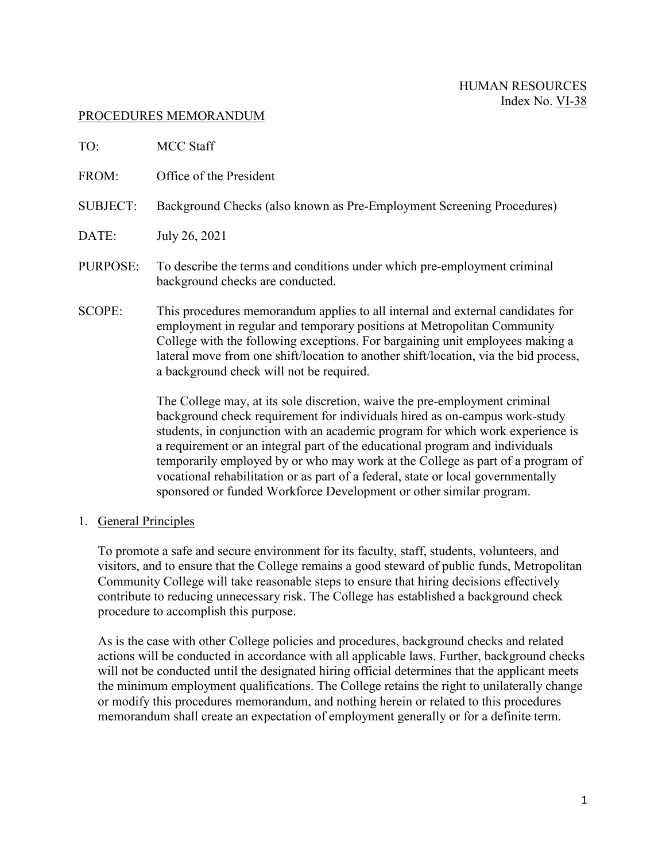#### PROCEDURES MEMORANDUM

| TO:             | MCC Staff                                                                                                                                                                                                                                                                                                                                                                      |
|-----------------|--------------------------------------------------------------------------------------------------------------------------------------------------------------------------------------------------------------------------------------------------------------------------------------------------------------------------------------------------------------------------------|
| FROM:           | Office of the President                                                                                                                                                                                                                                                                                                                                                        |
| <b>SUBJECT:</b> | Background Checks (also known as Pre-Employment Screening Procedures)                                                                                                                                                                                                                                                                                                          |
| DATE:           | July 26, 2021                                                                                                                                                                                                                                                                                                                                                                  |
| PURPOSE:        | To describe the terms and conditions under which pre-employment criminal<br>background checks are conducted.                                                                                                                                                                                                                                                                   |
| SCOPE:          | This procedures memorandum applies to all internal and external candidates for<br>employment in regular and temporary positions at Metropolitan Community<br>College with the following exceptions. For bargaining unit employees making a<br>lateral move from one shift/location to another shift/location, via the bid process,<br>a background check will not be required. |
|                 | The College may, at its sole discretion, waive the pre-employment criminal<br>background check requirement for individuals hired as on-campus work-study                                                                                                                                                                                                                       |

students, in conjunction with an academic program for which work experience is a requirement or an integral part of the educational program and individuals temporarily employed by or who may work at the College as part of a program of vocational rehabilitation or as part of a federal, state or local governmentally sponsored or funded Workforce Development or other similar program.

1. General Principles

To promote a safe and secure environment for its faculty, staff, students, volunteers, and visitors, and to ensure that the College remains a good steward of public funds, Metropolitan Community College will take reasonable steps to ensure that hiring decisions effectively contribute to reducing unnecessary risk. The College has established a background check procedure to accomplish this purpose.

As is the case with other College policies and procedures, background checks and related actions will be conducted in accordance with all applicable laws. Further, background checks will not be conducted until the designated hiring official determines that the applicant meets the minimum employment qualifications. The College retains the right to unilaterally change or modify this procedures memorandum, and nothing herein or related to this procedures memorandum shall create an expectation of employment generally or for a definite term.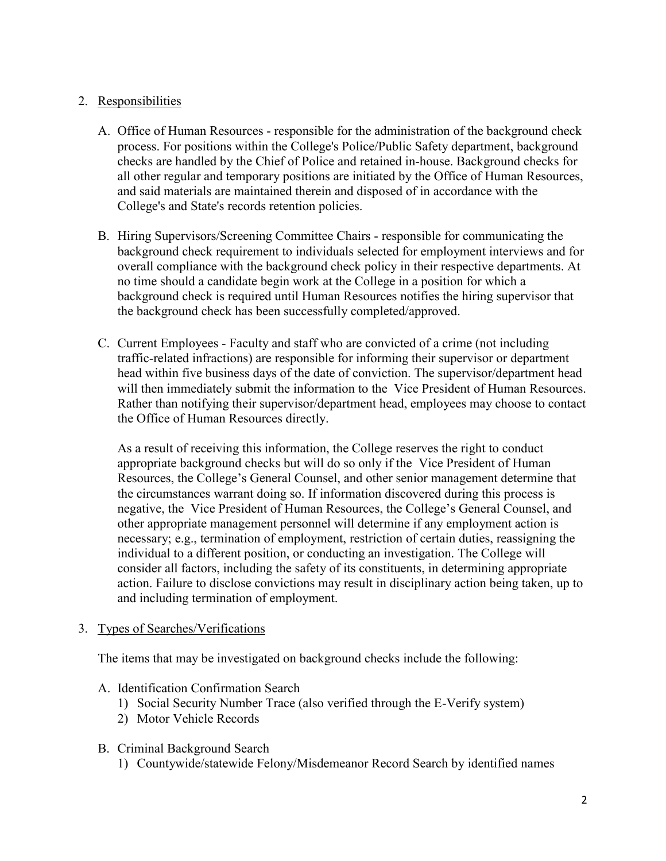# 2. Responsibilities

- A. Office of Human Resources responsible for the administration of the background check process. For positions within the College's Police/Public Safety department, background checks are handled by the Chief of Police and retained in-house. Background checks for all other regular and temporary positions are initiated by the Office of Human Resources, and said materials are maintained therein and disposed of in accordance with the College's and State's records retention policies.
- B. Hiring Supervisors/Screening Committee Chairs responsible for communicating the background check requirement to individuals selected for employment interviews and for overall compliance with the background check policy in their respective departments. At no time should a candidate begin work at the College in a position for which a background check is required until Human Resources notifies the hiring supervisor that the background check has been successfully completed/approved.
- C. Current Employees Faculty and staff who are convicted of a crime (not including traffic-related infractions) are responsible for informing their supervisor or department head within five business days of the date of conviction. The supervisor/department head will then immediately submit the information to the Vice President of Human Resources. Rather than notifying their supervisor/department head, employees may choose to contact the Office of Human Resources directly.

As a result of receiving this information, the College reserves the right to conduct appropriate background checks but will do so only if the Vice President of Human Resources, the College's General Counsel, and other senior management determine that the circumstances warrant doing so. If information discovered during this process is negative, the Vice President of Human Resources, the College's General Counsel, and other appropriate management personnel will determine if any employment action is necessary; e.g., termination of employment, restriction of certain duties, reassigning the individual to a different position, or conducting an investigation. The College will consider all factors, including the safety of its constituents, in determining appropriate action. Failure to disclose convictions may result in disciplinary action being taken, up to and including termination of employment.

3. Types of Searches/Verifications

The items that may be investigated on background checks include the following:

- A. Identification Confirmation Search
	- 1) Social Security Number Trace (also verified through the E-Verify system)
	- 2) Motor Vehicle Records
- B. Criminal Background Search
	- 1) Countywide/statewide Felony/Misdemeanor Record Search by identified names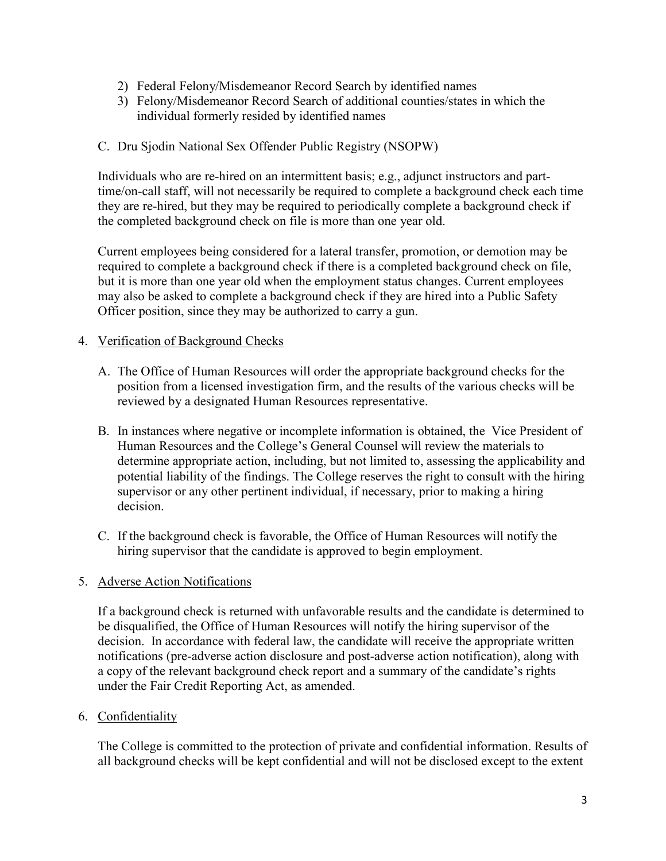- 2) Federal Felony/Misdemeanor Record Search by identified names
- 3) Felony/Misdemeanor Record Search of additional counties/states in which the individual formerly resided by identified names

### C. Dru Sjodin National Sex Offender Public Registry (NSOPW)

Individuals who are re-hired on an intermittent basis; e.g., adjunct instructors and parttime/on-call staff, will not necessarily be required to complete a background check each time they are re-hired, but they may be required to periodically complete a background check if the completed background check on file is more than one year old.

Current employees being considered for a lateral transfer, promotion, or demotion may be required to complete a background check if there is a completed background check on file, but it is more than one year old when the employment status changes. Current employees may also be asked to complete a background check if they are hired into a Public Safety Officer position, since they may be authorized to carry a gun.

### 4. Verification of Background Checks

- A. The Office of Human Resources will order the appropriate background checks for the position from a licensed investigation firm, and the results of the various checks will be reviewed by a designated Human Resources representative.
- B. In instances where negative or incomplete information is obtained, the Vice President of Human Resources and the College's General Counsel will review the materials to determine appropriate action, including, but not limited to, assessing the applicability and potential liability of the findings. The College reserves the right to consult with the hiring supervisor or any other pertinent individual, if necessary, prior to making a hiring decision.
- C. If the background check is favorable, the Office of Human Resources will notify the hiring supervisor that the candidate is approved to begin employment.

## 5. Adverse Action Notifications

If a background check is returned with unfavorable results and the candidate is determined to be disqualified, the Office of Human Resources will notify the hiring supervisor of the decision. In accordance with federal law, the candidate will receive the appropriate written notifications (pre-adverse action disclosure and post-adverse action notification), along with a copy of the relevant background check report and a summary of the candidate's rights under the Fair Credit Reporting Act, as amended.

### 6. Confidentiality

The College is committed to the protection of private and confidential information. Results of all background checks will be kept confidential and will not be disclosed except to the extent